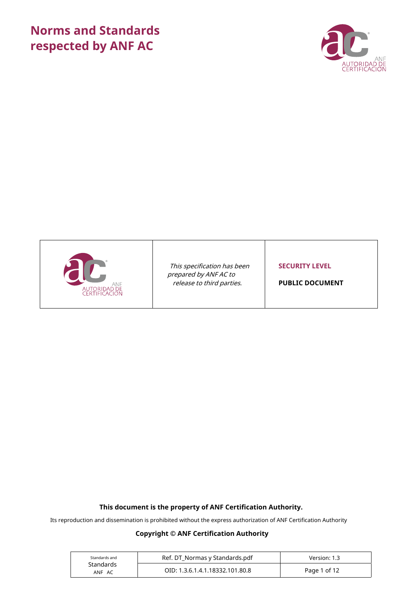# **Norms and Standards** respected by ANF AC





This specification has been prepared by ANF AC to release to third parties.

**SECURITY LEVEL** 

**PUBLIC DOCUMENT** 

## This document is the property of ANF Certification Authority.

Its reproduction and dissemination is prohibited without the express authorization of ANF Certification Authority

## **Copyright © ANF Certification Authority**

| Standards and       | Ref. DT Normas y Standards.pdf  | Version: 1.3 |
|---------------------|---------------------------------|--------------|
| Standards<br>ANF AC | OID: 1.3.6.1.4.1.18332.101.80.8 | Page 1 of 12 |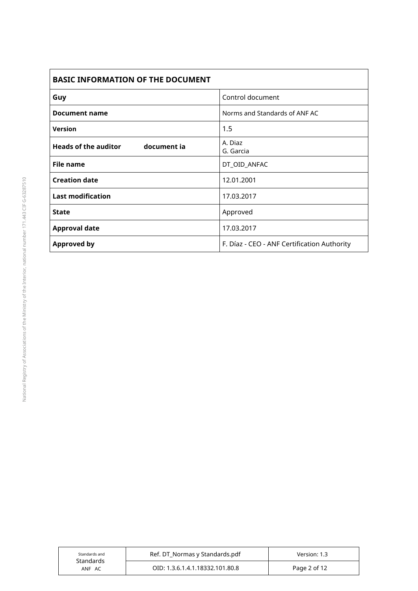| <b>BASIC INFORMATION OF THE DOCUMENT</b>   |                                             |  |
|--------------------------------------------|---------------------------------------------|--|
| Guy                                        | Control document                            |  |
| Document name                              | Norms and Standards of ANF AC               |  |
| <b>Version</b>                             | 1.5                                         |  |
| <b>Heads of the auditor</b><br>document ia | A. Diaz<br>G. Garcia                        |  |
| <b>File name</b>                           | DT_OID_ANFAC                                |  |
| <b>Creation date</b>                       | 12.01.2001                                  |  |
| <b>Last modification</b>                   | 17.03.2017                                  |  |
| <b>State</b>                               | Approved                                    |  |
| <b>Approval date</b>                       | 17.03.2017                                  |  |
| <b>Approved by</b>                         | F. Díaz - CEO - ANF Certification Authority |  |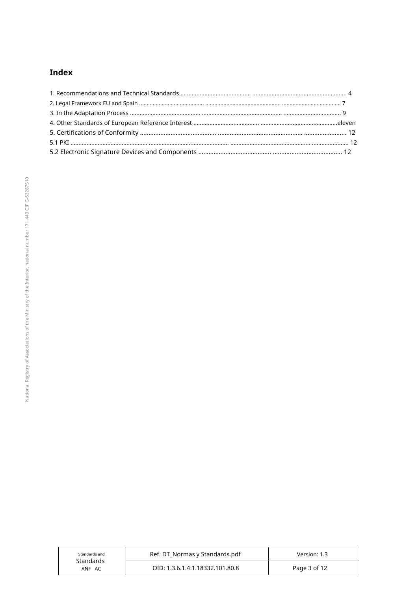## Index

| Standards and<br>Standards | Ref. DT_Normas y Standards.pdf  | Version: 1.3 |
|----------------------------|---------------------------------|--------------|
| ANF AC                     | OID: 1.3.6.1.4.1.18332.101.80.8 | Page 3 of 12 |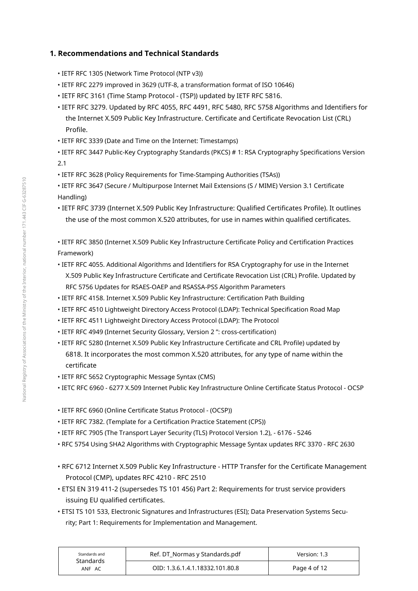## 1. Recommendations and Technical Standards

- IETF RFC 1305 (Network Time Protocol (NTP v3))
- IETF RFC 2279 improved in 3629 (UTF-8, a transformation format of ISO 10646)
- IETF RFC 3161 (Time Stamp Protocol (TSP)) updated by IETF RFC 5816.
- . IETF RFC 3279. Updated by RFC 4055, RFC 4491, RFC 5480, RFC 5758 Algorithms and Identifiers for the Internet X.509 Public Key Infrastructure. Certificate and Certificate Revocation List (CRL) Profile.
- IETF RFC 3339 (Date and Time on the Internet: Timestamps)
- IETF RFC 3447 Public-Key Cryptography Standards (PKCS) # 1: RSA Cryptography Specifications Version  $2.1$
- IETF RFC 3628 (Policy Requirements for Time-Stamping Authorities (TSAs))
- · IETF RFC 3647 (Secure / Multipurpose Internet Mail Extensions (S / MIME) Version 3.1 Certificate Handling)
- · IETF RFC 3739 (Internet X.509 Public Key Infrastructure: Qualified Certificates Profile). It outlines the use of the most common X.520 attributes, for use in names within qualified certificates.

· IETF RFC 3850 (Internet X.509 Public Key Infrastructure Certificate Policy and Certification Practices Framework)

- . IETF RFC 4055. Additional Algorithms and Identifiers for RSA Cryptography for use in the Internet X.509 Public Key Infrastructure Certificate and Certificate Revocation List (CRL) Profile. Updated by RFC 5756 Updates for RSAES-OAEP and RSASSA-PSS Algorithm Parameters
- IETF RFC 4158. Internet X.509 Public Key Infrastructure: Certification Path Building
- . IETF RFC 4510 Lightweight Directory Access Protocol (LDAP): Technical Specification Road Map
- IETF RFC 4511 Lightweight Directory Access Protocol (LDAP): The Protocol
- IETF RFC 4949 (Internet Security Glossary, Version 2": cross-certification)
- . IETF RFC 5280 (Internet X.509 Public Key Infrastructure Certificate and CRL Profile) updated by 6818. It incorporates the most common X.520 attributes, for any type of name within the certificate
- IETF RFC 5652 Cryptographic Message Syntax (CMS)
- · IETC RFC 6960 6277 X.509 Internet Public Key Infrastructure Online Certificate Status Protocol OCSP
- IETF RFC 6960 (Online Certificate Status Protocol (OCSP))
- IETF RFC 7382. (Template for a Certification Practice Statement (CPS))
- . IETF RFC 7905 (The Transport Layer Security (TLS) Protocol Version 1.2), 6176 5246
- . RFC 5754 Using SHA2 Algorithms with Cryptographic Message Syntax updates RFC 3370 RFC 2630
- . RFC 6712 Internet X.509 Public Key Infrastructure HTTP Transfer for the Certificate Management Protocol (CMP), updates RFC 4210 - RFC 2510
- · ETSI EN 319 411-2 (supersedes TS 101 456) Part 2: Requirements for trust service providers issuing EU qualified certificates.
- ETSI TS 101 533, Electronic Signatures and Infrastructures (ESI); Data Preservation Systems Security; Part 1: Requirements for Implementation and Management.

| Standards and<br>Standards | Ref. DT_Normas y Standards.pdf  | Version: 1.3 |
|----------------------------|---------------------------------|--------------|
| ANF AC                     | OID: 1.3.6.1.4.1.18332.101.80.8 | Page 4 of 12 |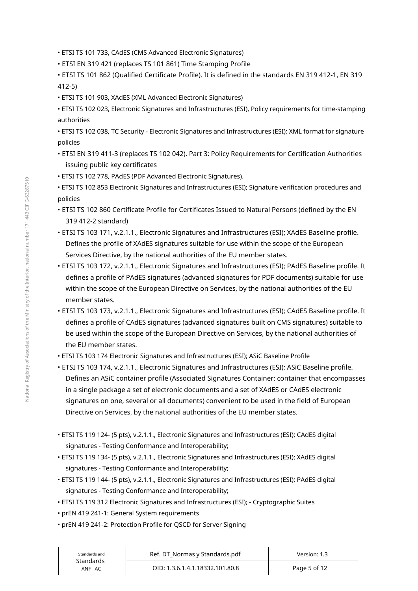- ETSI TS 101 733, CAdES (CMS Advanced Electronic Signatures)
- ETSI EN 319 421 (replaces TS 101 861) Time Stamping Profile
- . ETSI TS 101 862 (Oualified Certificate Profile). It is defined in the standards EN 319 412-1. EN 319  $412-5$
- ETSI TS 101 903, XAdES (XML Advanced Electronic Signatures)
- ETSI TS 102 023, Electronic Signatures and Infrastructures (ESI), Policy requirements for time-stamping authorities
- ETSI TS 102 038, TC Security Electronic Signatures and Infrastructures (ESI); XML format for signature policies
- · ETSI EN 319 411-3 (replaces TS 102 042). Part 3: Policy Requirements for Certification Authorities issuing public key certificates
- ETSI TS 102 778, PAdES (PDF Advanced Electronic Signatures).
- ETSI TS 102 853 Electronic Signatures and Infrastructures (ESI); Signature verification procedures and policies
- . ETSI TS 102 860 Certificate Profile for Certificates Issued to Natural Persons (defined by the EN 319 412-2 standard)
- . ETSI TS 103 171, v.2.1.1., Electronic Signatures and Infrastructures (ESI); XAdES Baseline profile. Defines the profile of XAdES signatures suitable for use within the scope of the European Services Directive, by the national authorities of the EU member states.
- · ETSI TS 103 172, v.2.1.1., Electronic Signatures and Infrastructures (ESI); PAdES Baseline profile. It defines a profile of PAdES signatures (advanced signatures for PDF documents) suitable for use within the scope of the European Directive on Services, by the national authorities of the EU member states.
- · ETSI TS 103 173, v.2.1.1., Electronic Signatures and Infrastructures (ESI); CAdES Baseline profile. It defines a profile of CAdES signatures (advanced signatures built on CMS signatures) suitable to be used within the scope of the European Directive on Services, by the national authorities of the EU member states.
- ETSI TS 103 174 Electronic Signatures and Infrastructures (ESI); ASiC Baseline Profile
- · ETSI TS 103 174, v.2.1.1., Electronic Signatures and Infrastructures (ESI); ASiC Baseline profile. Defines an ASiC container profile (Associated Signatures Container: container that encompasses in a single package a set of electronic documents and a set of XAdES or CAdES electronic signatures on one, several or all documents) convenient to be used in the field of European Directive on Services, by the national authorities of the EU member states.
- ETSI TS 119 124- (5 pts), v.2.1.1., Electronic Signatures and Infrastructures (ESI): CAdES digital signatures - Testing Conformance and Interoperability;
- · ETSI TS 119 134- (5 pts), v.2.1.1., Electronic Signatures and Infrastructures (ESI); XAdES digital signatures - Testing Conformance and Interoperability;
- · ETSI TS 119 144- (5 pts), v.2.1.1., Electronic Signatures and Infrastructures (ESI); PAdES digital signatures - Testing Conformance and Interoperability;
- . ETSI TS 119 312 Electronic Signatures and Infrastructures (ESI); Cryptographic Suites
- prEN 419 241-1: General System requirements
- prEN 419 241-2: Protection Profile for QSCD for Server Signing

| Standards and<br>Standards<br>ANF AC | Ref. DT Normas y Standards.pdf  | Version: 1.3 |
|--------------------------------------|---------------------------------|--------------|
|                                      | OID: 1.3.6.1.4.1.18332.101.80.8 | Page 5 of 12 |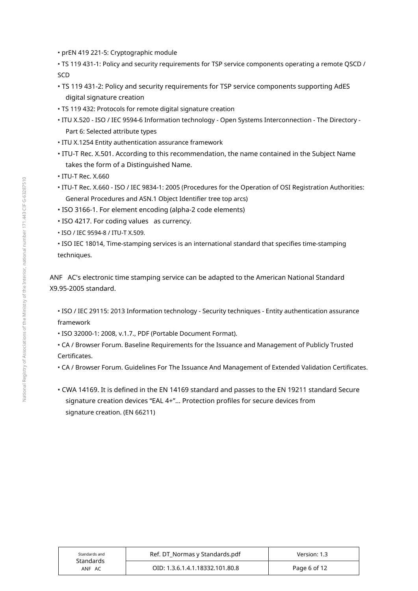- · prEN 419 221-5: Cryptographic module
- . TS 119 431-1: Policy and security requirements for TSP service components operating a remote QSCD / SC<sub>D</sub>
- TS 119 431-2: Policy and security requirements for TSP service components supporting AdES digital signature creation
- TS 119 432: Protocols for remote digital signature creation
- ITU X.520 ISO / IEC 9594-6 Information technology Open Systems Interconnection The Directory -Part 6: Selected attribute types
- $\boldsymbol{\cdot}$  ITU X.1254 Entity authentication assurance framework
- $\boldsymbol{\cdot}$  ITU-T Rec. X.501. According to this recommendation, the name contained in the Subject Name takes the form of a Distinguished Name.
- $\bm{\cdot}$  ITU-T Rec. X.660
- $\bm{\cdot}$  ITU-T Rec. X.660 ISO / IEC 9834-1: 2005 (Procedures for the Operation of OSI Registration Authorities: General Procedures and ASN.1 Object Identifier tree top arcs)
- $\cdot$  ISO 3166-1. For element encoding (alpha-2 code elements)
- ISO 4217. For coding values  $\,$  as currency.
- ISO / IEC 9594-8 / ITU-T X.509.
- ISO IEC 18014, Time-stamping services is an international standard that specifies time-stamping techniques.

ANF AC's electronic time stamping service can be adapted to the American National Standard X9.95-2005 standard.

- ISO / IEC 29115: 2013 Information technology Security techniques Entity authentication assurance framework
- ISO 32000-1: 2008, v.1.7., PDF (Portable Document Format).
- $\bullet$  CA / Browser Forum. Baseline Requirements for the Issuance and Management of Publicly Trusted Certificates.
- $\bullet$  CA / Browser Forum. Guidelines For The Issuance And Management of Extended Validation Certificates.
- $\boldsymbol{\cdot}$  CWA 14169. It is defined in the EN 14169 standard and passes to the EN 19211 standard Secure signature creation devices "EAL 4+"... Protection profiles for secure devices from signature creation. (EN 66211)

| Standards and<br>Standards<br>ANF AC | Ref. DT_Normas y Standards.pdf  | Version: 1.3 |
|--------------------------------------|---------------------------------|--------------|
|                                      | OID: 1.3.6.1.4.1.18332.101.80.8 | Page 6 of 12 |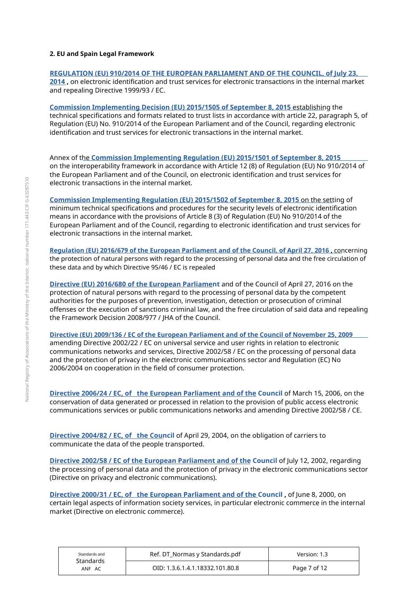#### 2. EU and Spain Legal Framework

#### REGULATION (EU) 910/2014 OF THE EUROPEAN PARLIAMENT AND OF THE COUNCIL, of July 23, 2014, on electronic identification and trust services for electronic transactions in the internal market and repealing Directive 1999/93 / EC.

**Commission Implementing Decision (EU) 2015/1505 of September 8, 2015 establishing the** technical specifications and formats related to trust lists in accordance with article 22, paragraph 5, of Regulation (EU) No. 910/2014 of the European Parliament and of the Council, regarding electronic identification and trust services for electronic transactions in the internal market.

Annex of the Commission Implementing Regulation (EU) 2015/1501 of September 8, 2015 on the interoperability framework in accordance with Article 12 (8) of Regulation (EU) No 910/2014 of the European Parliament and of the Council, on electronic identification and trust services for electronic transactions in the internal market.

**Commission Implementing Regulation (EU) 2015/1502 of September 8, 2015 on the setting of** minimum technical specifications and procedures for the security levels of electronic identification means in accordance with the provisions of Article 8 (3) of Regulation (EU) No 910/2014 of the European Parliament and of the Council, regarding to electronic identification and trust services for electronic transactions in the internal market.

Regulation (EU) 2016/679 of the European Parliament and of the Council, of April 27, 2016, concerning the protection of natural persons with regard to the processing of personal data and the free circulation of these data and by which Directive 95/46 / EC is repealed

Directive (EU) 2016/680 of the European Parliament and of the Council of April 27, 2016 on the protection of natural persons with regard to the processing of personal data by the competent authorities for the purposes of prevention, investigation, detection or prosecution of criminal offenses or the execution of sanctions criminal law, and the free circulation of said data and repealing the Framework Decision 2008/977 / IHA of the Council.

Directive (EU) 2009/136 / EC of the European Parliament and of the Council of November 25, 2009 amending Directive 2002/22 / FC on universal service and user rights in relation to electronic communications networks and services. Directive 2002/58 / EC on the processing of personal data and the protection of privacy in the electronic communications sector and Regulation (EC) No 2006/2004 on cooperation in the field of consumer protection.

Directive 2006/24 / EC, of the European Parliament and of the Council of March 15, 2006, on the conservation of data generated or processed in relation to the provision of public access electronic communications services or public communications networks and amending Directive 2002/58 / CE.

Directive 2004/82 / EC, of the Council of April 29, 2004, on the obligation of carriers to communicate the data of the people transported.

Directive 2002/58 / EC of the European Parliament and of the Council of July 12, 2002, regarding the processing of personal data and the protection of privacy in the electronic communications sector (Directive on privacy and electronic communications).

Directive 2000/31 / EC, of the European Parliament and of the Council, of lune 8, 2000, on certain legal aspects of information society services, in particular electronic commerce in the internal market (Directive on electronic commerce).

| Standards and<br>Standards | Ref. DT Normas y Standards.pdf  | Version: 1.3 |
|----------------------------|---------------------------------|--------------|
| ANF AC                     | OID: 1.3.6.1.4.1.18332.101.80.8 | Page 7 of 12 |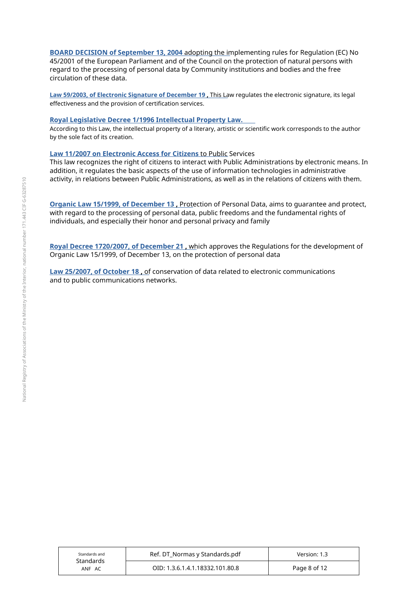BOARD DECISION of September 13, 2004 adopting the implementing rules for Regulation (EC) No 45/2001 of the European Parliament and of the Council on the protection of natural persons with regard to the processing of personal data by Community institutions and bodies and the free circulation of these data.

Law 59/2003, of Electronic Signature of December 19, This Law regulates the electronic signature, its legal effectiveness and the provision of certification services.

#### Royal Legislative Decree 1/1996 Intellectual Property Law.

According to this Law, the intellectual property of a literary, artistic or scientific work corresponds to the author by the sole fact of its creation.

#### Law 11/2007 on Electronic Access for Citizens to Public Services

This law recognizes the right of citizens to interact with Public Administrations by electronic means. In addition, it regulates the basic aspects of the use of information technologies in administrative activity, in relations between Public Administrations, as well as in the relations of citizens with them.

Organic Law 15/1999, of December 13, Protection of Personal Data, aims to quarantee and protect, with regard to the processing of personal data, public freedoms and the fundamental rights of individuals, and especially their honor and personal privacy and family

Royal Decree 1720/2007, of December 21, which approves the Regulations for the development of Organic Law 15/1999, of December 13, on the protection of personal data

Law 25/2007, of October 18, of conservation of data related to electronic communications and to public communications networks.

| Standards and<br>Standards | Ref. DT Normas y Standards.pdf  | Version: 1.3 |
|----------------------------|---------------------------------|--------------|
| ANF AC                     | OID: 1.3.6.1.4.1.18332.101.80.8 | Page 8 of 12 |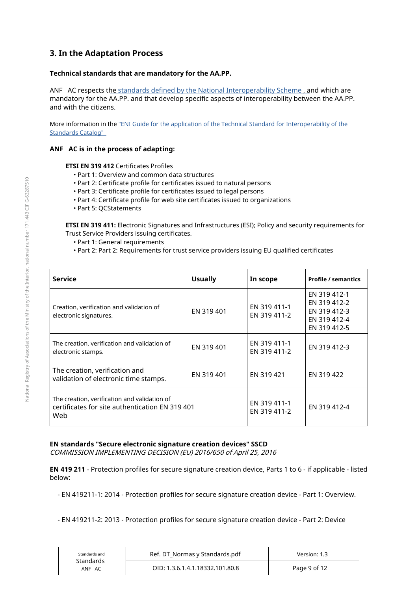## 3. In the Adaptation Process

## Technical standards that are mandatory for the AA.PP.

ANF AC respects the standards defined by the National Interoperability Scheme, and which are mandatory for the AA.PP. and that develop specific aspects of interoperability between the AA.PP. and with the citizens.

More information in the "ENI Guide for the application of the Technical Standard for Interoperability of the **Standards Catalog"** 

#### ANF AC is in the process of adapting:

**ETSI EN 319 412 Certificates Profiles** 

- . Part 1: Overview and common data structures
- . Part 2: Certificate profile for certificates issued to natural persons
- . Part 3: Certificate profile for certificates issued to legal persons
- · Part 4: Certificate profile for web site certificates issued to organizations
- Part 5: OCStatements

ETSI EN 319 411: Electronic Signatures and Infrastructures (ESI); Policy and security requirements for Trust Service Providers issuing certificates.

- Part 1: General requirements
- . Part 2: Part 2: Requirements for trust service providers issuing EU qualified certificates

| <b>Service</b>                                                                                         | <b>Usually</b> | In scope                     | <b>Profile / semantics</b>                                                   |
|--------------------------------------------------------------------------------------------------------|----------------|------------------------------|------------------------------------------------------------------------------|
| Creation, verification and validation of<br>electronic signatures.                                     | EN 319 401     | FN 319 411-1<br>EN 319 411-2 | FN 319 412-1<br>EN 319 412-2<br>EN 319 412-3<br>EN 319 412-4<br>EN 319 412-5 |
| The creation, verification and validation of<br>electronic stamps.                                     | EN 319 401     | EN 319 411-1<br>EN 319 411-2 | EN 319 412-3                                                                 |
| The creation, verification and<br>validation of electronic time stamps.                                | EN 319 401     | EN 319 421                   | EN 319 422                                                                   |
| The creation, verification and validation of<br>certificates for site authentication EN 319 401<br>Web |                | EN 319 411-1<br>EN 319 411-2 | EN 319 412-4                                                                 |

## EN standards "Secure electronic signature creation devices" SSCD

COMMISSION IMPLEMENTING DECISION (EU) 2016/650 of April 25, 2016

EN 419 211 - Protection profiles for secure signature creation device, Parts 1 to 6 - if applicable - listed below:

- EN 419211-1: 2014 - Protection profiles for secure signature creation device - Part 1: Overview.

- EN 419211-2: 2013 - Protection profiles for secure signature creation device - Part 2: Device

| Standards and<br><b>Standards</b> | Ref. DT Normas y Standards.pdf  | Version: 1.3 |
|-----------------------------------|---------------------------------|--------------|
| ANF AC                            | OID: 1.3.6.1.4.1.18332.101.80.8 | Page 9 of 12 |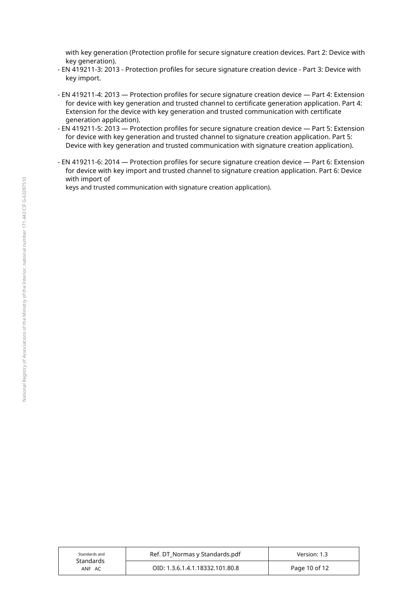with key generation (Protection profile for secure signature creation devices. Part 2: Device with key generation).

- EN 419211-3: 2013 Protection profiles for secure signature creation device Part 3: Device with key import.
- EN 419211-4: 2013 Protection profiles for secure signature creation device Part 4: Extension for device with key generation and trusted channel to certificate generation application. Part 4: Extension for the device with key generation and trusted communication with certificate generation application).
- EN 419211-5: 2013 Protection profiles for secure signature creation device Part 5: Extension for device with key generation and trusted channel to signature creation application. Part 5: Device with key generation and trusted communication with signature creation application).
- EN 419211-6: 2014 Protection profiles for secure signature creation device Part 6: Extension for device with key import and trusted channel to signature creation application. Part 6: Device with import of

keys and trusted communication with signature creation application).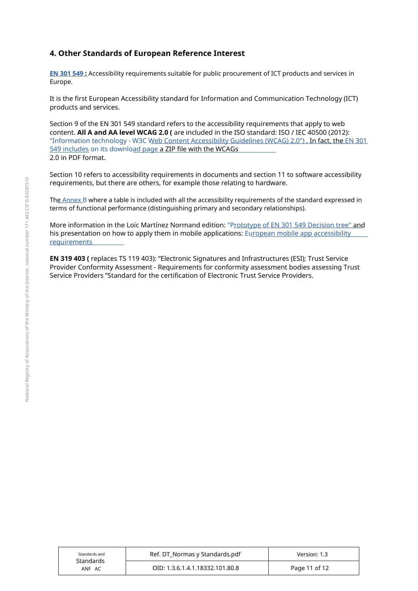## 4. Other Standards of European Reference Interest

EN 301 549 : Accessibility requirements suitable for public procurement of ICT products and services in Europe.

It is the first European Accessibility standard for Information and Communication Technology (ICT) products and services.

Section 9 of the EN 301 549 standard refers to the accessibility requirements that apply to web content. **All A and AA level WCAG 2.0 (** are included in the ISO standard: ISO / IEC 40500 (2012): <u>"Information technology - W3C Web Content Accessibility Guidelines (WCAG) 2.0") . **In fact, the** EN 301</u> 549 includes on its download page a ZIP file with the WCAGs 2.0 in PDF format.

Section 10 refers to accessibility requirements in documents and section 11 to software accessibility requirements, but there are others, for example those relating to hardware.

The Annex B where a table is included with all the accessibility requirements of the standard expressed in terms of functional performance (distinguishing primary and secondary relationships).

<u>More information in the Loïc Martínez Normand edition: "P<u>rototype of EN 301 549 Decision tree" and</u></u> his presentation on how to apply them in mobile applications: European mobile app accessibility requirements

**EN 319 403 (** replaces TS 119 403): "Electronic Signatures and Infrastructures (ESI); Trust Service Provider Conformity Assessment - Requirements for conformity assessment bodies assessing Trust Service Providers "Standard for the certification of Electronic Trust Service Providers.

| Standards and<br>Standards<br>ANF AC | Ref. DT Normas y Standards.pdf  | Version: 1.3  |
|--------------------------------------|---------------------------------|---------------|
|                                      | OID: 1.3.6.1.4.1.18332.101.80.8 | Page 11 of 12 |